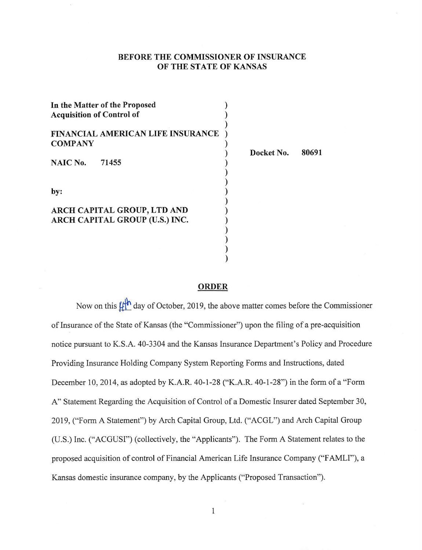# **BEFORE THE COMMISSIONER OF INSURANCE OF THE STATE OF KANSAS**

| In the Matter of the Proposed<br><b>Acquisition of Control of</b> |  |
|-------------------------------------------------------------------|--|
| FINANCIAL AMERICAN LIFE INSURANCE<br><b>COMPANY</b>               |  |
| NAIC No.<br>71455                                                 |  |
| by:                                                               |  |
| ARCH CAPITAL GROUP, LTD AND<br>ARCH CAPITAL GROUP (U.S.) INC.     |  |

**Docket No. 80691** 

#### **ORDER**

) )

Now on this  $\mu h$  day of October, 2019, the above matter comes before the Commissioner of Insurance of the State of Kansas (the "Commissioner") upon the filing of a pre-acquisition notice pursuant to K.S.A. 40-3304 and the Kansas Insurance Department's Policy and Procedure Providing Insurance Holding Company System Reporting Forms and Instructions, dated December 10, 2014, as adopted by K.A.R. 40-1-28 ("K.A.R. 40-1-28") in the form of a "Form A" Statement Regarding the Acquisition of Control of a Domestic Insurer dated September 30, 2019, ("Form A Statement") by Arch Capital Group, Ltd. ("ACGL") and Arch Capital Group (U.S.) Inc. ("ACGUSI") (collectively, the "Applicants"). The Form A Statement relates to the proposed acquisition of control of Financial American Life Insurance Company ("F AMLI"), a Kansas domestic insurance company, by the Applicants ("Proposed Transaction").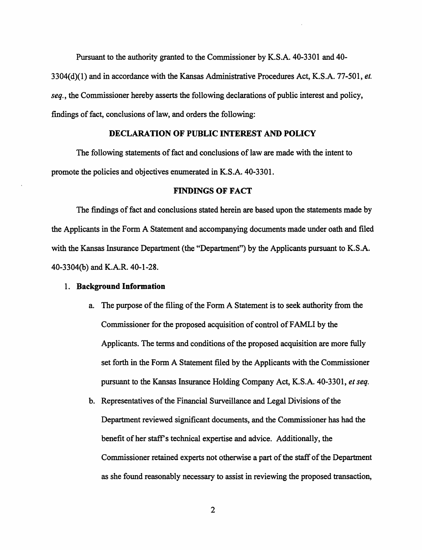Pursuant to the authority granted to the Commissioner by K.S.A. 40-3301 and 40- 3304(d)(l) and in accordance with the Kansas Administrative Procedures Act, K.S.A. 77-501, *et. seq.,* the Commissioner hereby asserts the following declarations of public interest and policy, findings of fact, conclusions of law, and orders the following:

### **DECLARATION OF PUBLIC INTEREST AND POLICY**

The following statements of fact and conclusions of law are made with the intent to promote the policies and objectives enumerated in K.S.A. 40-3301.

## **FINDINGS OF FACT**

The findings of fact and conclusions stated herein are based upon the statements made by the Applicants in the Form A Statement and accompanying documents made under oath and filed with the Kansas Insurance Department (the "Department") by the Applicants pursuant to K.S.A. 40-3304(b) and K.A.R. 40-1-28.

### 1. **Background Information**

- a. The purpose of the filing of the Form A Statement is to seek authority from the Commissioner for the proposed acquisition of control of FAMLI by the Applicants. The terms and conditions of the proposed acquisition are more fully set forth in the Form A Statement filed by the Applicants with the Commissioner pursuant to the Kansas Insurance Holding Company Act, K.S.A. 40-3301, *et seq.*
- b. Representatives of the Financial Surveillance and Legal Divisions of the Department reviewed significant documents, and the Commissioner has had the benefit of her staff's technical expertise and advice. Additionally, the Commissioner retained experts not otherwise a part of the staff of the Department as she found reasonably necessary to assist in reviewing the proposed transaction,

2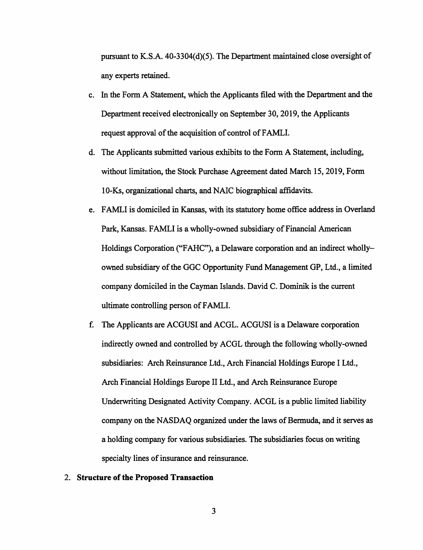pursuant to K.S.A. 40-3304(d)(5). The Department maintained close oversight of any experts retained.

- c. In the Form A Statement, which the Applicants filed with the Department and the Department received electronically on September 30, 2019, the Applicants request approval of the acquisition of control of FAMLI.
- d. The Applicants submitted various exhibits to the Form A Statement, including, without limitation, the Stock Purchase Agreement dated March 15, 2019, Form 10-Ks, organizational charts, and NAIC biographical affidavits.
- e. FAMLI is domiciled in Kansas, with its statutory home office address in Overland Park, Kansas. FAMLI is a wholly-owned subsidiary of Financial American Holdings Corporation ("FAHC"), a Delaware corporation and an indirect whollyowned subsidiary of the GGC Opportunity Fund Management GP, Ltd., a limited company domiciled in the Cayman Islands. David C. Dominik is the current ultimate controlling person of FAMLI.
- f. The Applicants are ACGUSI and ACGL. ACGUSI is a Delaware corporation indirectly owned and controlled by ACGL through the following wholly-owned subsidiaries: Arch Reinsurance Ltd., Arch Financial Holdings Europe I Ltd., Arch Financial Holdings Europe II Ltd., and Arch Reinsurance Europe Underwriting Designated Activity Company. ACGL is a public limited liability company on the NASDAQ organized under the laws of Bermuda, and it serves as a holding company for various subsidiaries. The subsidiaries focus on writing specialty lines of insurance and reinsurance.

## 2. **Structure of the Proposed Transaction**

3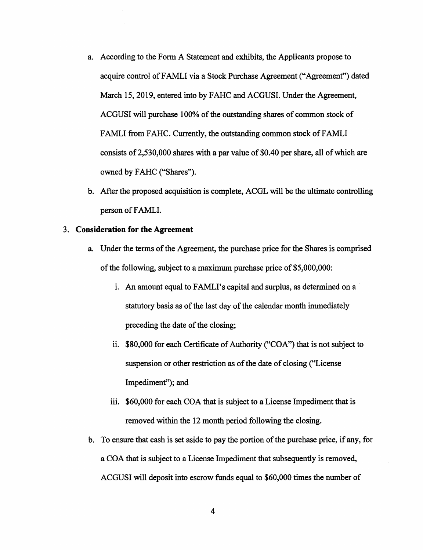- a. According to the Form A Statement and exhibits, the Applicants propose to acquire control ofFAMLI via a Stock Purchase Agreement ("Agreement") dated March 15, 2019, entered into by FAHC and ACGUSI. Under the Agreement, ACGUSI will purchase 100% of the outstanding shares of common stock of FAMLI from FAHC. Currently, the outstanding common stock of FAMLI consists of  $2,530,000$  shares with a par value of \$0.40 per share, all of which are owned by FAHC ("Shares").
- b. After the proposed acquisition is complete, ACGL will be the ultimate controlling person of FAMLI.

### 3. **Consideration for the Agreement**

- a. Under the terms of the Agreement, the purchase price for the Shares is comprised of the following, subject to a maximum purchase price of \$5,000,000:
	- i. An amount equal to FAMLI's capital and surplus, as determined on a statutory basis as of the last day of the calendar month immediately preceding the date of the closing;
	- ii. \$80,000 for each Certificate of Authority ("COA") that is not subject to suspension or other restriction as of the date of closing ("License Impediment"); and
	- iii. \$60,000 for each COA that is subject to a License Impediment that is removed within the 12 month period following the closing.
- b. To ensure that cash is set aside to pay the portion of the purchase price, if any, for a COA that is subject to a License Impediment that subsequently is removed, ACGUSI will deposit into escrow funds equal to \$60,000 times the number of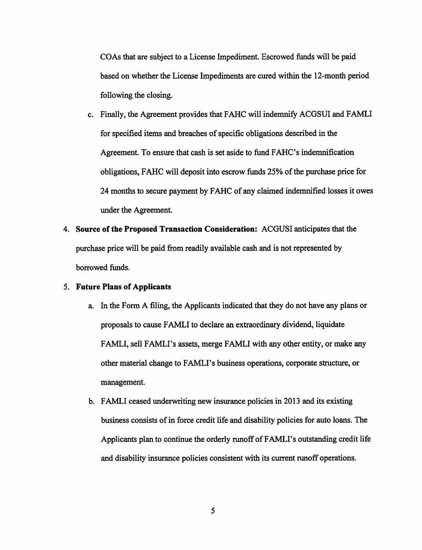COAs that are subject to a License Impediment. Escrowed funds will be paid based on whether the License Impediments are cured within the 12-month period following the closing.

- c. Finally, the Agreement provides that FAHC will indemnify ACGSUI and FAMLI for specified items and breaches of specific obligations described in the Agreement. To ensure that cash is set aside to fund FAHC's indemnification obligations, F AHC will deposit into escrow funds 25% of the purchase price for 24 months to secure payment by F AHC of any claimed indemnified losses it owes under the Agreement.
- 4. **Source of the Proposed Transaction Consideration:** ACGUSI anticipates that the purchase price will be paid from readily available cash and is not represented by borrowed funds.

# 5. **Future Plans of Applicants**

- a. In the Form A filing, the Applicants indicated that they do not have any plans or proposals to cause F AMLI to declare an extraordinary dividend, liquidate FAMLI, sell FAMLI's assets, merge FAMLI with any other entity, or make any other material change to FAMLI's business operations, corporate structure, or management.
- b. FAMLI ceased underwriting new insurance policies in 2013 and its existing business consists of in force credit life and disability policies for auto loans. The Applicants plan to continue the orderly runoff of FAMLI's outstanding credit life and disability insurance policies consistent with its current runoff operations.

5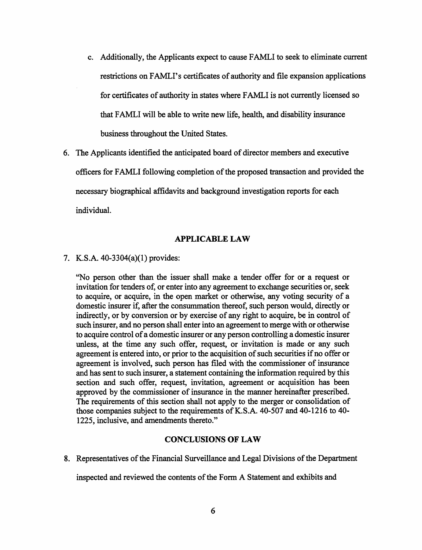- c. Additionally, the Applicants expect to cause F AMLI to seek to eliminate current restrictions on FAMLI's certificates of authority and file expansion applications for certificates of authority in states where F AMLI is not currently licensed so that FAMLI will be able to write new life, health, and disability insurance business throughout the United States.
- 6. The Applicants identified the anticipated board of director members and executive officers for F AMLI following completion of the proposed transaction and provided the necessary biographical affidavits and background investigation reports for each individual.

## **APPLICABLE LAW**

7. K.S.A. 40-3304(a)(l) provides:

''No person other than the issuer shall make a tender offer for or a request or invitation for tenders of, or enter into any agreement to exchange securities or, seek to acquire, or acquire, in the open market or otherwise, any voting security of a domestic insurer if, after the consummation thereof, such person would, directly or indirectly, or by conversion or by exercise of any right to acquire, be in control of such insurer, and no person shall enter into an agreement to merge with or otherwise to acquire control of a domestic insurer or any person controlling a domestic insurer unless, at the time any such offer, request, or invitation is made or any such agreement is entered into, or prior to the acquisition of such securities if no offer or agreement is involved, such person has filed with the commissioner of insurance and has sent to such insurer, a statement containing the information required by this section and such offer, request, invitation, agreement or acquisition has been approved by the commissioner of insurance in the manner hereinafter prescribed. The requirements of this section shall not apply to the merger or consolidation of those companies subject to the requirements of K.S.A. 40-507 and 40-1216 to 40-1225, inclusive, and amendments thereto."

## **CONCLUSIONS OF LAW**

8. Representatives of the Financial Surveillance and Legal Divisions of the Department

inspected and reviewed the contents of the Form A Statement and exhibits and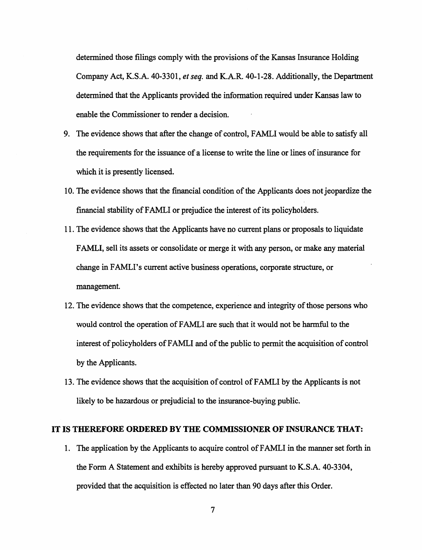determined those filings comply with the provisions of the Kansas Insurance Holding Company Act, K.S.A. 40-3301, *et seq.* and K.A.R. 40-1-28. Additionally, the Department determined that the Applicants provided the information required under Kansas law to enable the Commissioner to render a decision.

- 9. The evidence shows that after the change of control, FAMLI would be able to satisfy all the requirements for the issuance of a license to write the line or lines of insurance for which it is presently licensed.
- 10. The evidence shows that the financial condition of the Applicants does not jeopardize the financial stability of FAMLI or prejudice the interest of its policyholders.
- 11. The evidence shows that the Applicants have no current plans or proposals to liquidate F AMLI, sell its assets or consolidate or merge it with any person, or make any material change in FAMLI's current active business operations, corporate structure, or management.
- 12. The evidence shows that the competence, experience and integrity of those persons who would control the operation of FAMLI are such that it would not be harmful to the interest of policyholders of FAMLI and of the public to permit the acquisition of control by the Applicants.
- 13. The evidence shows that the acquisition of control ofFAMLI by the Applicants is not likely to be hazardous or prejudicial to the insurance-buying public.

## **IT IS THEREFORE ORDERED BY THE COMMISSIONER OF INSURANCE THAT:**

1. The application by the Applicants to acquire control of FAMLI in the manner set forth in the Form A Statement and exhibits is hereby approved pursuant to K.S.A. 40-3304, provided that the acquisition is effected no later than 90 days after this Order.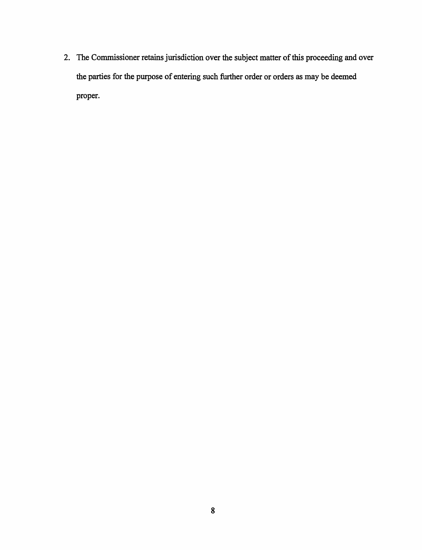2. The Commissioner retains jurisdiction over the subject matter of this proceeding and over the parties for the purpose of entering such further order or orders as may be deemed proper.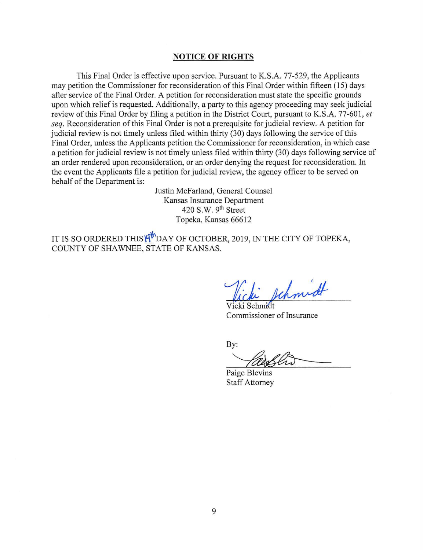## **NOTICE OF RIGHTS**

This Final Order is effective upon service. Pursuant to K.S.A. 77-529, the Applicants may petition the Commissioner for reconsideration of this Final Order within fifteen (15) days after service of the Final Order. A petition for reconsideration must state the specific grounds upon which relief is requested. Additionally, a party to this agency proceeding may seek judicial review of this Final Order by filing a petition in the District Court, pursuant to K.S.A. 77-601, *et seq.* Reconsideration of this Final Order is not a prerequisite for judicial review. A petition for judicial review is not timely unless filed within thirty (30) days following the service of this Final Order, unless the Applicants petition the Commissioner for reconsideration, in which case a petition for judicial review is not timely unless filed within thirty (30) days following service of an order rendered upon reconsideration, or an order denying the request for reconsideration. In the event the Applicants file a petition for judicial review, the agency officer to be served on behalf of the Department is:

> Justin McFarland, General Counsel Kansas Insurance Department 420 S.W. 9<sup>th</sup> Street Topeka, Kansas 66612

IT IS SO ORDERED THIS  $H^{\#}$ DAY OF OCTOBER, 2019, IN THE CITY OF TOPEKA, COUNTY OF SHAWNEE, STATE OF KANSAS.

schmidt

Vicki Schmidt Commissioner of Insurance

By:

ommissioner of Insurance<br>y:<br>aige Blevins<br>taff Attorney

Paige Blevins Staff Attorney